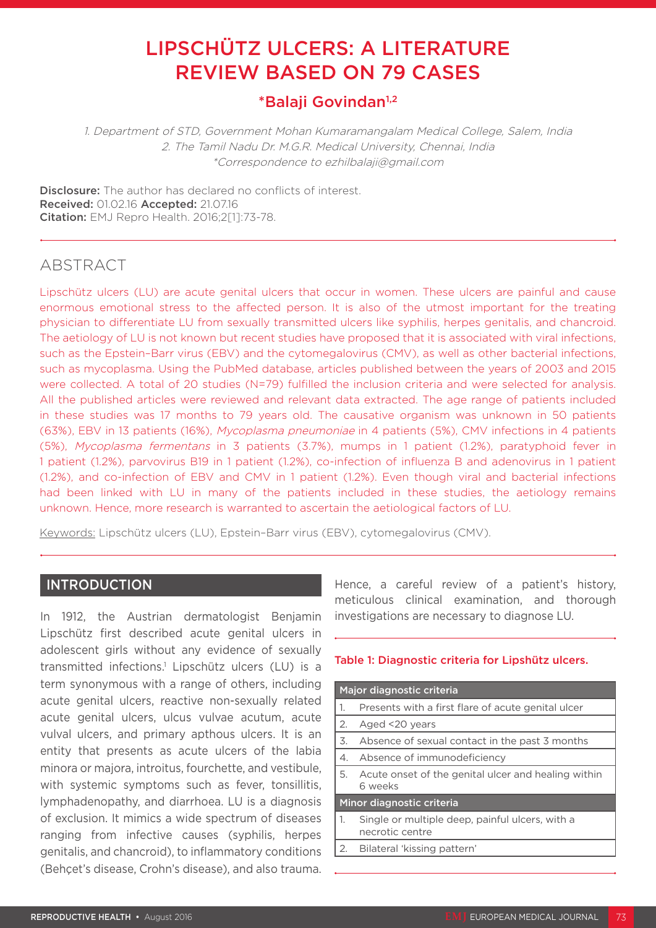# LIPSCHÜTZ ULCERS: A LITERATURE REVIEW BASED ON 79 CASES

## \*Balaji Govindan1,2

1. Department of STD, Government Mohan Kumaramangalam Medical College, Salem, India 2. The Tamil Nadu Dr. M.G.R. Medical University, Chennai, India \*Correspondence to ezhilbalaji@gmail.com

**Disclosure:** The author has declared no conflicts of interest. Received: 01.02.16 Accepted: 21.07.16 Citation: EMJ Repro Health. 2016;2[1]:73-78.

## ABSTRACT

Lipschütz ulcers (LU) are acute genital ulcers that occur in women. These ulcers are painful and cause enormous emotional stress to the affected person. It is also of the utmost important for the treating physician to differentiate LU from sexually transmitted ulcers like syphilis, herpes genitalis, and chancroid. The aetiology of LU is not known but recent studies have proposed that it is associated with viral infections, such as the Epstein–Barr virus (EBV) and the cytomegalovirus (CMV), as well as other bacterial infections, such as mycoplasma. Using the PubMed database, articles published between the years of 2003 and 2015 were collected. A total of 20 studies (N=79) fulfilled the inclusion criteria and were selected for analysis. All the published articles were reviewed and relevant data extracted. The age range of patients included in these studies was 17 months to 79 years old. The causative organism was unknown in 50 patients (63%), EBV in 13 patients (16%), Mycoplasma pneumoniae in 4 patients (5%), CMV infections in 4 patients (5%), Mycoplasma fermentans in 3 patients (3.7%), mumps in 1 patient (1.2%), paratyphoid fever in 1 patient (1.2%), parvovirus B19 in 1 patient (1.2%), co-infection of influenza B and adenovirus in 1 patient (1.2%), and co-infection of EBV and CMV in 1 patient (1.2%). Even though viral and bacterial infections had been linked with LU in many of the patients included in these studies, the aetiology remains unknown. Hence, more research is warranted to ascertain the aetiological factors of LU.

Keywords: Lipschütz ulcers (LU), Epstein–Barr virus (EBV), cytomegalovirus (CMV).

## INTRODUCTION

In 1912, the Austrian dermatologist Benjamin Lipschütz first described acute genital ulcers in adolescent girls without any evidence of sexually transmitted infections.1 Lipschütz ulcers (LU) is a term synonymous with a range of others, including acute genital ulcers, reactive non-sexually related acute genital ulcers, ulcus vulvae acutum, acute vulval ulcers, and primary apthous ulcers. It is an entity that presents as acute ulcers of the labia minora or majora, introitus, fourchette, and vestibule, with systemic symptoms such as fever, tonsillitis, lymphadenopathy, and diarrhoea. LU is a diagnosis of exclusion. It mimics a wide spectrum of diseases ranging from infective causes (syphilis, herpes genitalis, and chancroid), to inflammatory conditions (Behçet's disease, Crohn's disease), and also trauma. Hence, a careful review of a patient's history, meticulous clinical examination, and thorough investigations are necessary to diagnose LU.

## Table 1: Diagnostic criteria for Lipshütz ulcers.

| Major diagnostic criteria |                                                                    |  |  |
|---------------------------|--------------------------------------------------------------------|--|--|
| 1.                        | Presents with a first flare of acute genital ulcer                 |  |  |
| 2.                        | Aged <20 years                                                     |  |  |
| 3.                        | Absence of sexual contact in the past 3 months                     |  |  |
| 4.                        | Absence of immunodeficiency                                        |  |  |
| 5.                        | Acute onset of the genital ulcer and healing within<br>6 weeks     |  |  |
| Minor diagnostic criteria |                                                                    |  |  |
| 1.                        | Single or multiple deep, painful ulcers, with a<br>necrotic centre |  |  |
| 2.                        | Bilateral 'kissing pattern'                                        |  |  |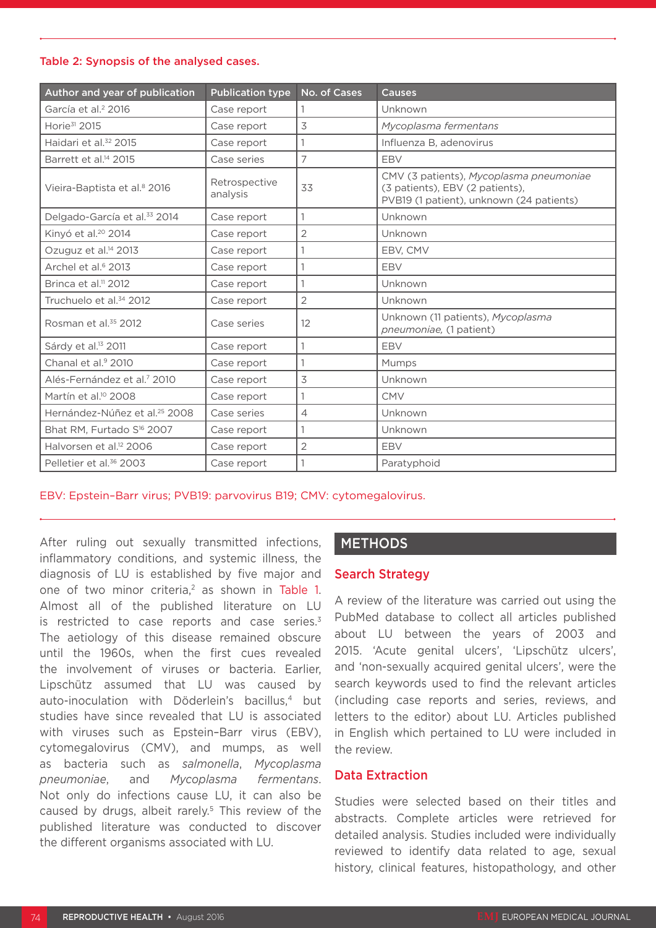#### Table 2: Synopsis of the analysed cases.

| Author and year of publication            | <b>Publication type</b>   | No. of Cases   | <b>Causes</b>                                                                                                          |
|-------------------------------------------|---------------------------|----------------|------------------------------------------------------------------------------------------------------------------------|
| García et al. <sup>2</sup> 2016           | Case report               | 1              | Unknown                                                                                                                |
| Horie <sup>31</sup> 2015                  | Case report               | 3              | Mycoplasma fermentans                                                                                                  |
| Haidari et al. <sup>32</sup> 2015         | Case report               | 1              | Influenza B, adenovirus                                                                                                |
| Barrett et al. <sup>14</sup> 2015         | Case series               | 7              | EBV                                                                                                                    |
| Vieira-Baptista et al. <sup>8</sup> 2016  | Retrospective<br>analysis | 33             | CMV (3 patients), Mycoplasma pneumoniae<br>(3 patients), EBV (2 patients),<br>PVB19 (1 patient), unknown (24 patients) |
| Delgado-García et al. <sup>33</sup> 2014  | Case report               | $\mathbf{1}$   | Unknown                                                                                                                |
| Kinyó et al. <sup>20</sup> 2014           | Case report               | $\mathbf{2}$   | Unknown                                                                                                                |
| Ozuguz et al. <sup>14</sup> 2013          | Case report               | 1              | EBV, CMV                                                                                                               |
| Archel et al. <sup>6</sup> 2013           | Case report               | 1              | EBV                                                                                                                    |
| Brinca et al. <sup>11</sup> 2012          | Case report               | 1              | Unknown                                                                                                                |
| Truchuelo et al. <sup>34</sup> 2012       | Case report               | 2              | Unknown                                                                                                                |
| Rosman et al. <sup>35</sup> 2012          | Case series               | 12             | Unknown (11 patients), Mycoplasma<br>pneumoniae, (1 patient)                                                           |
| Sárdy et al. <sup>13</sup> 2011           | Case report               | 1              | EBV                                                                                                                    |
| Chanal et al. <sup>9</sup> 2010           | Case report               | 1              | <b>Mumps</b>                                                                                                           |
| Alés-Fernández et al. <sup>7</sup> 2010   | Case report               | 3              | Unknown                                                                                                                |
| Martín et al. <sup>10</sup> 2008          | Case report               | $\mathbf{1}$   | <b>CMV</b>                                                                                                             |
| Hernández-Núñez et al. <sup>25</sup> 2008 | Case series               | $\overline{4}$ | Unknown                                                                                                                |
| Bhat RM, Furtado S <sup>16</sup> 2007     | Case report               | $\mathbf{1}$   | Unknown                                                                                                                |
| Halvorsen et al. <sup>12</sup> 2006       | Case report               | $\overline{2}$ | EBV                                                                                                                    |
| Pelletier et al. <sup>36</sup> 2003       | Case report               | 1              | Paratyphoid                                                                                                            |

## EBV: Epstein–Barr virus; PVB19: parvovirus B19; CMV: cytomegalovirus.

After ruling out sexually transmitted infections, inflammatory conditions, and systemic illness, the diagnosis of LU is established by five major and one of two minor criteria,<sup>2</sup> as shown in Table 1. Almost all of the published literature on LU is restricted to case reports and case series. $3$ The aetiology of this disease remained obscure until the 1960s, when the first cues revealed the involvement of viruses or bacteria. Earlier, Lipschütz assumed that LU was caused by auto-inoculation with Döderlein's bacillus,<sup>4</sup> but studies have since revealed that LU is associated with viruses such as Epstein–Barr virus (EBV), cytomegalovirus (CMV), and mumps, as well as bacteria such as *salmonella*, *Mycoplasma pneumoniae*, and *Mycoplasma fermentans*. Not only do infections cause LU, it can also be caused by drugs, albeit rarely.<sup>5</sup> This review of the published literature was conducted to discover the different organisms associated with LU.

## **METHODS**

## Search Strategy

A review of the literature was carried out using the PubMed database to collect all articles published about LU between the years of 2003 and 2015. 'Acute genital ulcers', 'Lipschütz ulcers', and 'non-sexually acquired genital ulcers', were the search keywords used to find the relevant articles (including case reports and series, reviews, and letters to the editor) about LU. Articles published in English which pertained to LU were included in the review.

#### Data Extraction

Studies were selected based on their titles and abstracts. Complete articles were retrieved for detailed analysis. Studies included were individually reviewed to identify data related to age, sexual history, clinical features, histopathology, and other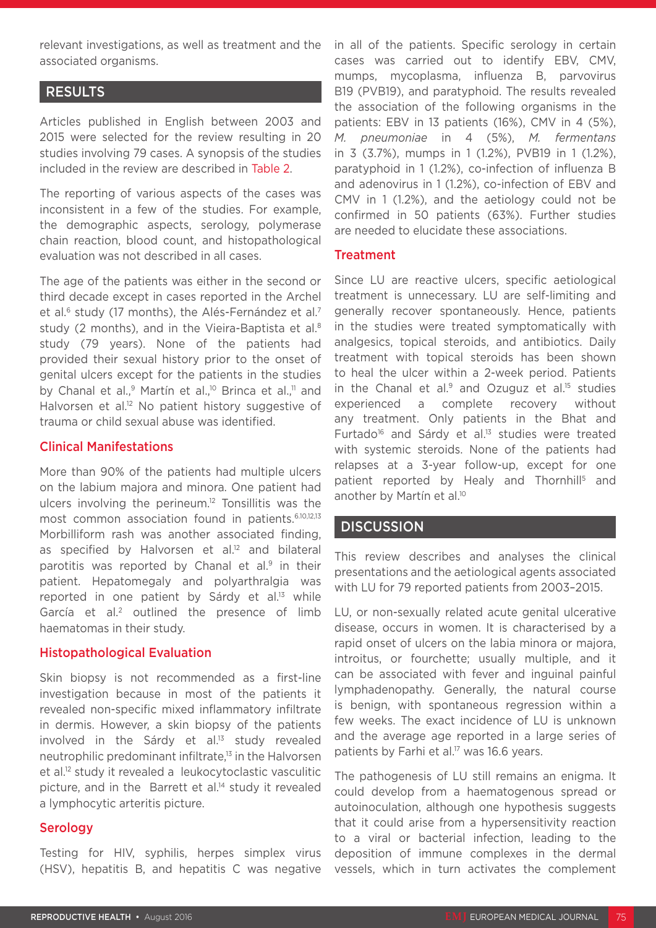relevant investigations, as well as treatment and the associated organisms.

## RESULTS

Articles published in English between 2003 and 2015 were selected for the review resulting in 20 studies involving 79 cases. A synopsis of the studies included in the review are described in Table 2.

The reporting of various aspects of the cases was inconsistent in a few of the studies. For example, the demographic aspects, serology, polymerase chain reaction, blood count, and histopathological evaluation was not described in all cases.

The age of the patients was either in the second or third decade except in cases reported in the Archel et al.<sup>6</sup> study (17 months), the Alés-Fernández et al.<sup>7</sup> study (2 months), and in the Vieira-Baptista et al.<sup>8</sup> study (79 years). None of the patients had provided their sexual history prior to the onset of genital ulcers except for the patients in the studies by Chanal et al.,<sup>9</sup> Martín et al.,<sup>10</sup> Brinca et al.,<sup>11</sup> and Halvorsen et al.<sup>12</sup> No patient history suggestive of trauma or child sexual abuse was identified.

## Clinical Manifestations

More than 90% of the patients had multiple ulcers on the labium majora and minora. One patient had ulcers involving the perineum.12 Tonsillitis was the most common association found in patients.<sup>6.10,12,13</sup> Morbilliform rash was another associated finding, as specified by Halvorsen et al.<sup>12</sup> and bilateral parotitis was reported by Chanal et al.<sup>9</sup> in their patient. Hepatomegaly and polyarthralgia was reported in one patient by Sárdy et al.<sup>13</sup> while García et al.<sup>2</sup> outlined the presence of limb haematomas in their study.

## Histopathological Evaluation

Skin biopsy is not recommended as a first-line investigation because in most of the patients it revealed non-specific mixed inflammatory infiltrate in dermis. However, a skin biopsy of the patients involved in the Sárdy et al.<sup>13</sup> study revealed neutrophilic predominant infiltrate,13 in the Halvorsen et al.12 study it revealed a leukocytoclastic vasculitic picture, and in the Barrett et al.<sup>14</sup> study it revealed a lymphocytic arteritis picture.

## **Serology**

Testing for HIV, syphilis, herpes simplex virus (HSV), hepatitis B, and hepatitis C was negative in all of the patients. Specific serology in certain cases was carried out to identify EBV, CMV, mumps, mycoplasma, influenza B, parvovirus B19 (PVB19), and paratyphoid. The results revealed the association of the following organisms in the patients: EBV in 13 patients (16%), CMV in 4 (5%), *M. pneumoniae* in 4 (5%), *M. fermentans* in 3 (3.7%), mumps in 1 (1.2%), PVB19 in 1 (1.2%), paratyphoid in 1 (1.2%), co-infection of influenza B and adenovirus in 1 (1.2%), co-infection of EBV and CMV in 1 (1.2%), and the aetiology could not be confirmed in 50 patients (63%). Further studies are needed to elucidate these associations.

## **Treatment**

Since LU are reactive ulcers, specific aetiological treatment is unnecessary. LU are self-limiting and generally recover spontaneously. Hence, patients in the studies were treated symptomatically with analgesics, topical steroids, and antibiotics. Daily treatment with topical steroids has been shown to heal the ulcer within a 2-week period. Patients in the Chanal et al. $9$  and Ozuguz et al. $15$  studies experienced a complete recovery without any treatment. Only patients in the Bhat and Furtado<sup>16</sup> and Sárdy et al.<sup>13</sup> studies were treated with systemic steroids. None of the patients had relapses at a 3-year follow-up, except for one patient reported by Healy and Thornhill<sup>5</sup> and another by Martín et al.<sup>10</sup>

## **DISCUSSION**

This review describes and analyses the clinical presentations and the aetiological agents associated with LU for 79 reported patients from 2003–2015.

LU, or non-sexually related acute genital ulcerative disease, occurs in women. It is characterised by a rapid onset of ulcers on the labia minora or majora, introitus, or fourchette; usually multiple, and it can be associated with fever and inguinal painful lymphadenopathy. Generally, the natural course is benign, with spontaneous regression within a few weeks. The exact incidence of LU is unknown and the average age reported in a large series of patients by Farhi et al.<sup>17</sup> was 16.6 years.

The pathogenesis of LU still remains an enigma. It could develop from a haematogenous spread or autoinoculation, although one hypothesis suggests that it could arise from a hypersensitivity reaction to a viral or bacterial infection, leading to the deposition of immune complexes in the dermal vessels, which in turn activates the complement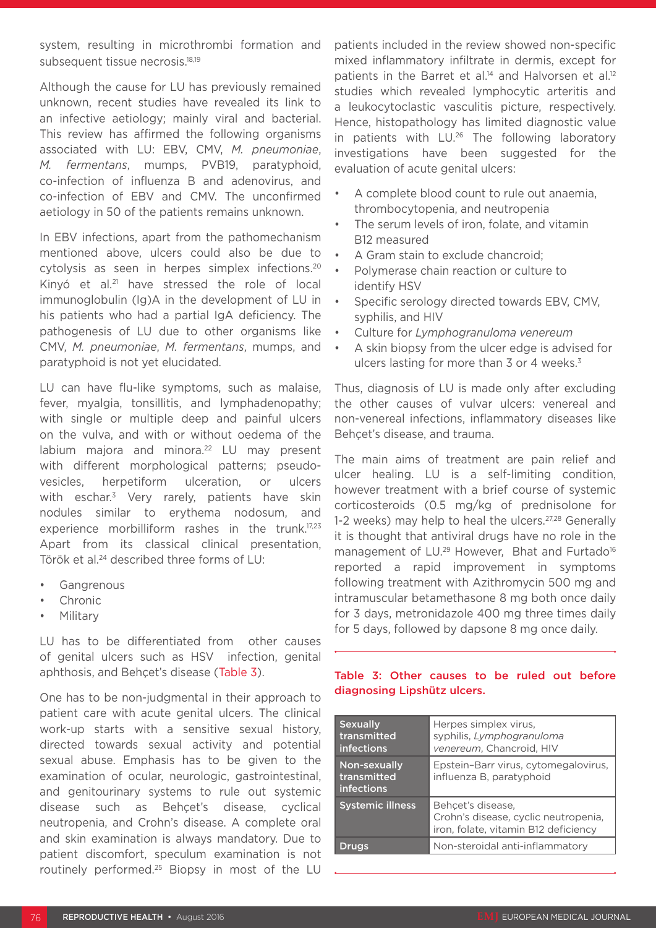system, resulting in microthrombi formation and subsequent tissue necrosis.<sup>18,19</sup>

Although the cause for LU has previously remained unknown, recent studies have revealed its link to an infective aetiology; mainly viral and bacterial. This review has affirmed the following organisms associated with LU: EBV, CMV, *M. pneumoniae*, *M. fermentans*, mumps, PVB19, paratyphoid, co-infection of influenza B and adenovirus, and co-infection of EBV and CMV. The unconfirmed aetiology in 50 of the patients remains unknown.

In EBV infections, apart from the pathomechanism mentioned above, ulcers could also be due to cytolysis as seen in herpes simplex infections.20 Kinyó et al.<sup>21</sup> have stressed the role of local immunoglobulin (Ig)A in the development of LU in his patients who had a partial IgA deficiency. The pathogenesis of LU due to other organisms like CMV, *M. pneumoniae*, *M. fermentans*, mumps, and paratyphoid is not yet elucidated.

LU can have flu-like symptoms, such as malaise, fever, myalgia, tonsillitis, and lymphadenopathy; with single or multiple deep and painful ulcers on the vulva, and with or without oedema of the labium majora and minora.<sup>22</sup> LU may present with different morphological patterns; pseudovesicles, herpetiform ulceration, or ulcers with eschar.<sup>3</sup> Very rarely, patients have skin nodules similar to erythema nodosum, and experience morbilliform rashes in the trunk.<sup>17,23</sup> Apart from its classical clinical presentation, Török et al.<sup>24</sup> described three forms of LU:

- **Gangrenous**
- Chronic
- Military

LU has to be differentiated from other causes of genital ulcers such as HSV infection, genital aphthosis, and Behçet's disease (Table 3).

One has to be non-judgmental in their approach to patient care with acute genital ulcers. The clinical work-up starts with a sensitive sexual history, directed towards sexual activity and potential sexual abuse. Emphasis has to be given to the examination of ocular, neurologic, gastrointestinal, and genitourinary systems to rule out systemic disease such as Behçet's disease, cyclical neutropenia, and Crohn's disease. A complete oral and skin examination is always mandatory. Due to patient discomfort, speculum examination is not routinely performed.25 Biopsy in most of the LU

patients included in the review showed non-specific mixed inflammatory infiltrate in dermis, except for patients in the Barret et al.<sup>14</sup> and Halvorsen et al.<sup>12</sup> studies which revealed lymphocytic arteritis and a leukocytoclastic vasculitis picture, respectively. Hence, histopathology has limited diagnostic value in patients with LU.<sup>26</sup> The following laboratory investigations have been suggested for the evaluation of acute genital ulcers:

- A complete blood count to rule out anaemia, thrombocytopenia, and neutropenia
- The serum levels of iron, folate, and vitamin B12 measured
- A Gram stain to exclude chancroid;
- Polymerase chain reaction or culture to identify HSV
- Specific serology directed towards EBV, CMV, syphilis, and HIV
- Culture for *Lymphogranuloma venereum*
- A skin biopsy from the ulcer edge is advised for ulcers lasting for more than 3 or 4 weeks.<sup>3</sup>

Thus, diagnosis of LU is made only after excluding the other causes of vulvar ulcers: venereal and non-venereal infections, inflammatory diseases like Behçet's disease, and trauma.

The main aims of treatment are pain relief and ulcer healing. LU is a self-limiting condition, however treatment with a brief course of systemic corticosteroids (0.5 mg/kg of prednisolone for 1-2 weeks) may help to heal the ulcers.<sup>27,28</sup> Generally it is thought that antiviral drugs have no role in the management of LU.<sup>29</sup> However, Bhat and Furtado<sup>16</sup> reported a rapid improvement in symptoms following treatment with Azithromycin 500 mg and intramuscular betamethasone 8 mg both once daily for 3 days, metronidazole 400 mg three times daily for 5 days, followed by dapsone 8 mg once daily.

## Table 3: Other causes to be ruled out before diagnosing Lipshütz ulcers.

| <b>Sexually</b><br>transmitted<br><b>infections</b> | Herpes simplex virus,<br>syphilis, Lymphogranuloma<br>venereum, Chancroid, HIV                    |
|-----------------------------------------------------|---------------------------------------------------------------------------------------------------|
| Non-sexually<br>transmitted<br><b>infections</b>    | Epstein-Barr virus, cytomegalovirus,<br>influenza B, paratyphoid                                  |
| <b>Systemic illness</b>                             | Behcet's disease,<br>Crohn's disease, cyclic neutropenia,<br>iron, folate, vitamin B12 deficiency |
| Druas                                               | Non-steroidal anti-inflammatory                                                                   |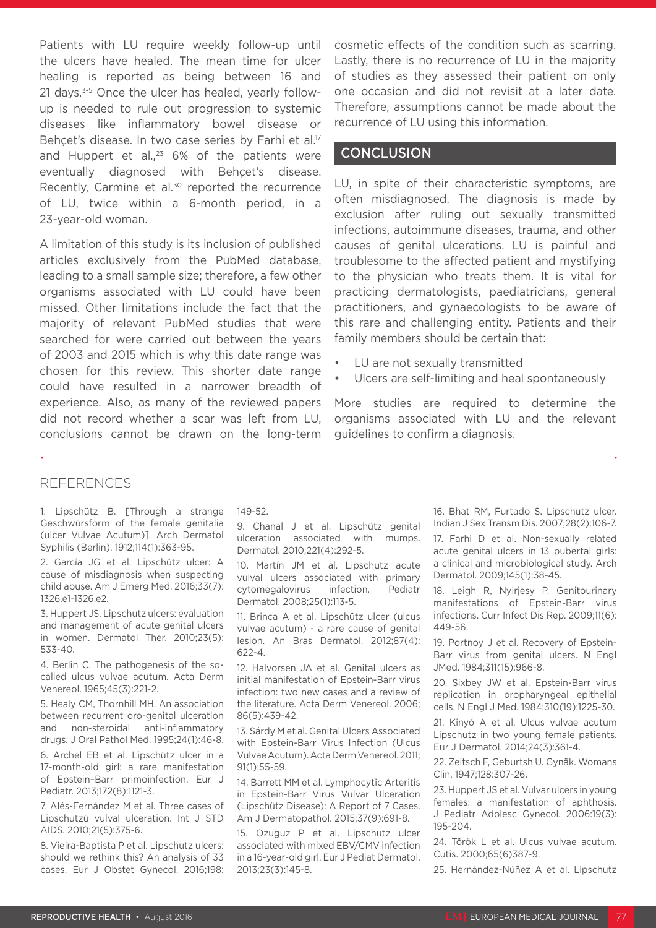Patients with LU require weekly follow-up until the ulcers have healed. The mean time for ulcer healing is reported as being between 16 and 21 days.3-5 Once the ulcer has healed, yearly followup is needed to rule out progression to systemic diseases like inflammatory bowel disease or Behçet's disease. In two case series by Farhi et al.<sup>17</sup> and Huppert et al., $23$  6% of the patients were eventually diagnosed with Behçet's disease. Recently, Carmine et al.<sup>30</sup> reported the recurrence of LU, twice within a 6-month period, in a 23-year-old woman.

A limitation of this study is its inclusion of published articles exclusively from the PubMed database, leading to a small sample size; therefore, a few other organisms associated with LU could have been missed. Other limitations include the fact that the majority of relevant PubMed studies that were searched for were carried out between the years of 2003 and 2015 which is why this date range was chosen for this review. This shorter date range could have resulted in a narrower breadth of experience. Also, as many of the reviewed papers did not record whether a scar was left from LU, conclusions cannot be drawn on the long-term cosmetic effects of the condition such as scarring. Lastly, there is no recurrence of LU in the majority of studies as they assessed their patient on only one occasion and did not revisit at a later date. Therefore, assumptions cannot be made about the recurrence of LU using this information.

## **CONCLUSION**

LU, in spite of their characteristic symptoms, are often misdiagnosed. The diagnosis is made by exclusion after ruling out sexually transmitted infections, autoimmune diseases, trauma, and other causes of genital ulcerations. LU is painful and troublesome to the affected patient and mystifying to the physician who treats them. It is vital for practicing dermatologists, paediatricians, general practitioners, and gynaecologists to be aware of this rare and challenging entity. Patients and their family members should be certain that:

- LU are not sexually transmitted
- Ulcers are self-limiting and heal spontaneously

More studies are required to determine the organisms associated with LU and the relevant guidelines to confirm a diagnosis.

## REFERENCES

1. Lipschütz B. [Through a strange Geschwürsform of the female genitalia (ulcer Vulvae Acutum)]. Arch Dermatol Syphilis (Berlin). 1912;114(1):363-95.

2. García JG et al. Lipschütz ulcer: A cause of misdiagnosis when suspecting child abuse. Am J Emerg Med. 2016;33(7): 1326.e1-1326.e2.

3. Huppert JS. Lipschutz ulcers: evaluation and management of acute genital ulcers in women. Dermatol Ther. 2010;23(5): 533-40.

4. Berlin C. The pathogenesis of the socalled ulcus vulvae acutum. Acta Derm Venereol. 1965;45(3):221-2.

5. Healy CM, Thornhill MH. An association between recurrent oro-genital ulceration and non-steroidal anti-inflammatory drugs. J Oral Pathol Med. 1995;24(1):46-8.

6. Archel EB et al. Lipschütz ulcer in a 17-month-old girl: a rare manifestation of Epstein–Barr primoinfection. Eur J Pediatr. 2013;172(8):1121-3.

7. Alés-Fernández M et al. Three cases of Lipschutzü vulval ulceration. Int J STD AIDS. 2010;21(5):375-6.

8. Vieira-Baptista P et al. Lipschutz ulcers: should we rethink this? An analysis of 33 cases. Eur J Obstet Gynecol. 2016;198: 149-52.

9. Chanal J et al. Lipschütz genital ulceration associated with mumps. Dermatol. 2010;221(4):292-5.

10. Martín JM et al. Lipschutz acute vulval ulcers associated with primary cytomegalovirus infection. Pediatr Dermatol. 2008;25(1):113-5.

11. Brinca A et al. Lipschütz ulcer (ulcus vulvae acutum) - a rare cause of genital lesion. An Bras Dermatol. 2012;87(4): 622-4.

12. Halvorsen JA et al. Genital ulcers as initial manifestation of Epstein-Barr virus infection: two new cases and a review of the literature. Acta Derm Venereol. 2006; 86(5):439-42.

13. Sárdy M et al. Genital Ulcers Associated with Epstein-Barr Virus Infection (Ulcus Vulvae Acutum). Acta Derm Venereol. 2011; 91(1):55-59.

14. Barrett MM et al. Lymphocytic Arteritis in Epstein-Barr Virus Vulvar Ulceration (Lipschütz Disease): A Report of 7 Cases. Am J Dermatopathol. 2015;37(9):691-8.

15. Ozuguz P et al. Lipschutz ulcer associated with mixed EBV/CMV infection in a 16-year-old girl. Eur J Pediat Dermatol. 2013;23(3):145-8.

16. Bhat RM, Furtado S. Lipschutz ulcer. Indian J Sex Transm Dis. 2007;28(2):106-7. 17. Farhi D et al. Non-sexually related acute genital ulcers in 13 pubertal girls: a clinical and microbiological study. Arch Dermatol. 2009;145(1):38-45.

18. Leigh R, Nyirjesy P. Genitourinary manifestations of Epstein-Barr virus infections. Curr Infect Dis Rep. 2009;11(6): 449-56.

19. Portnoy J et al. Recovery of Epstein-Barr virus from genital ulcers. N EngI JMed. 1984;311(15):966-8.

20. Sixbey JW et al. Epstein-Barr virus replication in oropharyngeal epithelial cells. N Engl J Med. 1984;310(19):1225-30.

21. Kinyó A et al. Ulcus vulvae acutum Lipschutz in two young female patients. Eur J Dermatol. 2014;24(3):361-4.

22. Zeitsch F, Geburtsh U. Gynäk. Womans Clin. 1947;128:307-26.

23. Huppert JS et al. Vulvar ulcers in young females: a manifestation of aphthosis. J Pediatr Adolesc Gynecol. 2006:19(3): 195-204.

24. Török L et al. Ulcus vulvae acutum. Cutis. 2000;65(6)387-9.

25. Hernández-Núñez A et al. Lipschutz